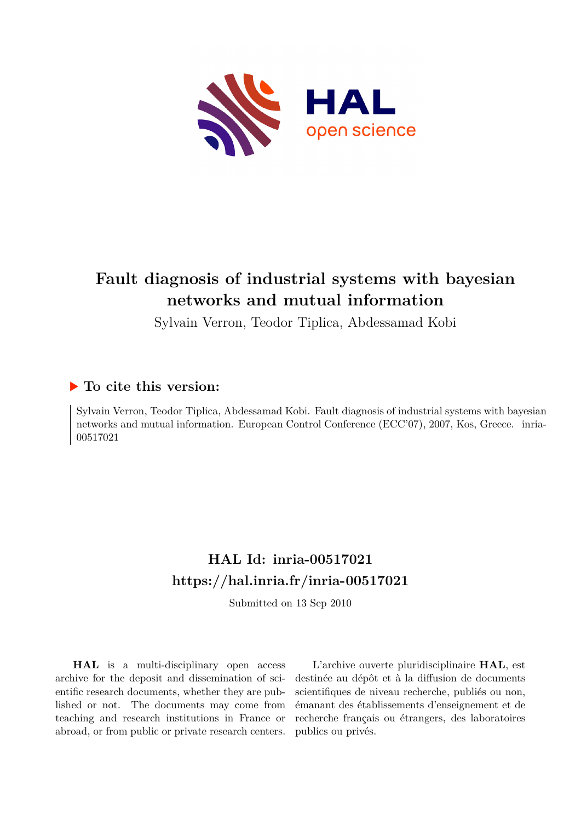

# **Fault diagnosis of industrial systems with bayesian networks and mutual information**

Sylvain Verron, Teodor Tiplica, Abdessamad Kobi

## **To cite this version:**

Sylvain Verron, Teodor Tiplica, Abdessamad Kobi. Fault diagnosis of industrial systems with bayesian networks and mutual information. European Control Conference (ECC'07), 2007, Kos, Greece. inria-00517021ff

# **HAL Id: inria-00517021 <https://hal.inria.fr/inria-00517021>**

Submitted on 13 Sep 2010

**HAL** is a multi-disciplinary open access archive for the deposit and dissemination of scientific research documents, whether they are published or not. The documents may come from teaching and research institutions in France or abroad, or from public or private research centers.

L'archive ouverte pluridisciplinaire **HAL**, est destinée au dépôt et à la diffusion de documents scientifiques de niveau recherche, publiés ou non, émanant des établissements d'enseignement et de recherche français ou étrangers, des laboratoires publics ou privés.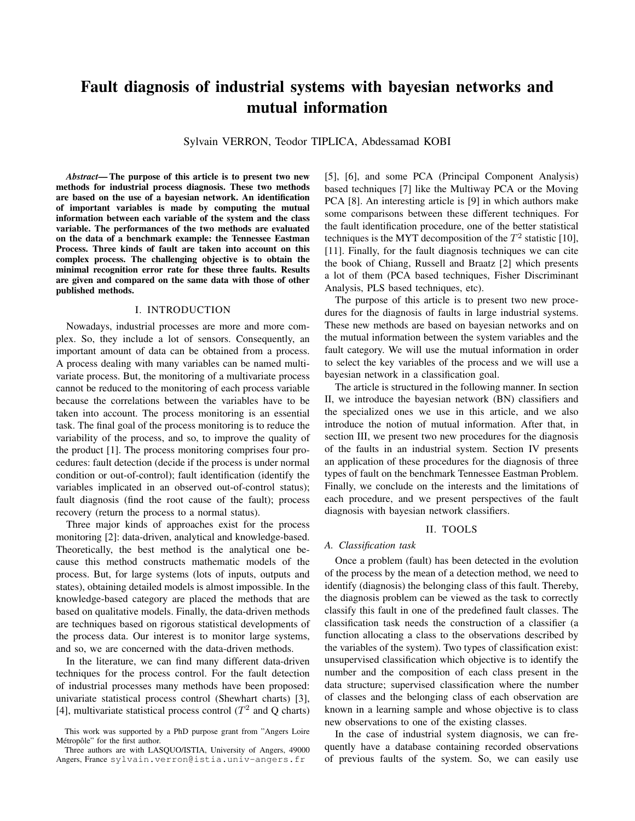## Fault diagnosis of industrial systems with bayesian networks and mutual information

Sylvain VERRON, Teodor TIPLICA, Abdessamad KOBI

*Abstract*— The purpose of this article is to present two new methods for industrial process diagnosis. These two methods are based on the use of a bayesian network. An identification of important variables is made by computing the mutual information between each variable of the system and the class variable. The performances of the two methods are evaluated on the data of a benchmark example: the Tennessee Eastman Process. Three kinds of fault are taken into account on this complex process. The challenging objective is to obtain the minimal recognition error rate for these three faults. Results are given and compared on the same data with those of other published methods.

#### I. INTRODUCTION

Nowadays, industrial processes are more and more complex. So, they include a lot of sensors. Consequently, an important amount of data can be obtained from a process. A process dealing with many variables can be named multivariate process. But, the monitoring of a multivariate process cannot be reduced to the monitoring of each process variable because the correlations between the variables have to be taken into account. The process monitoring is an essential task. The final goal of the process monitoring is to reduce the variability of the process, and so, to improve the quality of the product [1]. The process monitoring comprises four procedures: fault detection (decide if the process is under normal condition or out-of-control); fault identification (identify the variables implicated in an observed out-of-control status); fault diagnosis (find the root cause of the fault); process recovery (return the process to a normal status).

Three major kinds of approaches exist for the process monitoring [2]: data-driven, analytical and knowledge-based. Theoretically, the best method is the analytical one because this method constructs mathematic models of the process. But, for large systems (lots of inputs, outputs and states), obtaining detailed models is almost impossible. In the knowledge-based category are placed the methods that are based on qualitative models. Finally, the data-driven methods are techniques based on rigorous statistical developments of the process data. Our interest is to monitor large systems, and so, we are concerned with the data-driven methods.

In the literature, we can find many different data-driven techniques for the process control. For the fault detection of industrial processes many methods have been proposed: univariate statistical process control (Shewhart charts) [3], [4], multivariate statistical process control ( $T^2$  and Q charts)

[5], [6], and some PCA (Principal Component Analysis) based techniques [7] like the Multiway PCA or the Moving PCA [8]. An interesting article is [9] in which authors make some comparisons between these different techniques. For the fault identification procedure, one of the better statistical techniques is the MYT decomposition of the  $T^2$  statistic [10], [11]. Finally, for the fault diagnosis techniques we can cite the book of Chiang, Russell and Braatz [2] which presents a lot of them (PCA based techniques, Fisher Discriminant Analysis, PLS based techniques, etc).

The purpose of this article is to present two new procedures for the diagnosis of faults in large industrial systems. These new methods are based on bayesian networks and on the mutual information between the system variables and the fault category. We will use the mutual information in order to select the key variables of the process and we will use a bayesian network in a classification goal.

The article is structured in the following manner. In section II, we introduce the bayesian network (BN) classifiers and the specialized ones we use in this article, and we also introduce the notion of mutual information. After that, in section III, we present two new procedures for the diagnosis of the faults in an industrial system. Section IV presents an application of these procedures for the diagnosis of three types of fault on the benchmark Tennessee Eastman Problem. Finally, we conclude on the interests and the limitations of each procedure, and we present perspectives of the fault diagnosis with bayesian network classifiers.

## II. TOOLS

## *A. Classification task*

Once a problem (fault) has been detected in the evolution of the process by the mean of a detection method, we need to identify (diagnosis) the belonging class of this fault. Thereby, the diagnosis problem can be viewed as the task to correctly classify this fault in one of the predefined fault classes. The classification task needs the construction of a classifier (a function allocating a class to the observations described by the variables of the system). Two types of classification exist: unsupervised classification which objective is to identify the number and the composition of each class present in the data structure; supervised classification where the number of classes and the belonging class of each observation are known in a learning sample and whose objective is to class new observations to one of the existing classes.

In the case of industrial system diagnosis, we can frequently have a database containing recorded observations of previous faults of the system. So, we can easily use

This work was supported by a PhD purpose grant from "Angers Loire Métropôle" for the first author.

Three authors are with LASQUO/ISTIA, University of Angers, 49000 Angers, France sylvain.verron@istia.univ-angers.fr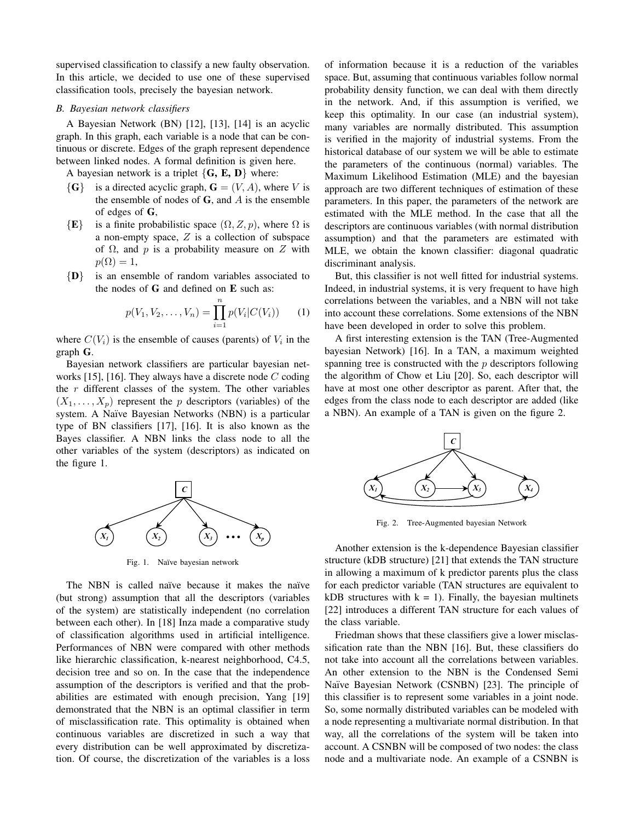supervised classification to classify a new faulty observation. In this article, we decided to use one of these supervised classification tools, precisely the bayesian network.

#### *B. Bayesian network classifiers*

A Bayesian Network (BN) [12], [13], [14] is an acyclic graph. In this graph, each variable is a node that can be continuous or discrete. Edges of the graph represent dependence between linked nodes. A formal definition is given here.

A bayesian network is a triplet  $\{G, E, D\}$  where:

- ${G}$  is a directed acyclic graph,  $G = (V, A)$ , where V is the ensemble of nodes of  $G$ , and  $A$  is the ensemble of edges of G,
- ${E}$  is a finite probabilistic space  $(\Omega, Z, p)$ , where  $\Omega$  is a non-empty space, Z is a collection of subspace of  $\Omega$ , and p is a probability measure on Z with  $p(\Omega) = 1$ ,
- {D} is an ensemble of random variables associated to the nodes of  $G$  and defined on  $E$  such as:

$$
p(V_1, V_2, \dots, V_n) = \prod_{i=1}^n p(V_i|C(V_i)) \qquad (1)
$$

where  $C(V_i)$  is the ensemble of causes (parents) of  $V_i$  in the graph G.

Bayesian network classifiers are particular bayesian networks [15], [16]. They always have a discrete node  $C$  coding the  $r$  different classes of the system. The other variables  $(X_1, \ldots, X_p)$  represent the p descriptors (variables) of the system. A Naïve Bayesian Networks (NBN) is a particular type of BN classifiers [17], [16]. It is also known as the Bayes classifier. A NBN links the class node to all the other variables of the system (descriptors) as indicated on the figure 1.



Fig. 1. Naïve bayesian network

The NBN is called naïve because it makes the naïve (but strong) assumption that all the descriptors (variables of the system) are statistically independent (no correlation between each other). In [18] Inza made a comparative study of classification algorithms used in artificial intelligence. Performances of NBN were compared with other methods like hierarchic classification, k-nearest neighborhood, C4.5, decision tree and so on. In the case that the independence assumption of the descriptors is verified and that the probabilities are estimated with enough precision, Yang [19] demonstrated that the NBN is an optimal classifier in term of misclassification rate. This optimality is obtained when continuous variables are discretized in such a way that every distribution can be well approximated by discretization. Of course, the discretization of the variables is a loss of information because it is a reduction of the variables space. But, assuming that continuous variables follow normal probability density function, we can deal with them directly in the network. And, if this assumption is verified, we keep this optimality. In our case (an industrial system), many variables are normally distributed. This assumption is verified in the majority of industrial systems. From the historical database of our system we will be able to estimate the parameters of the continuous (normal) variables. The Maximum Likelihood Estimation (MLE) and the bayesian approach are two different techniques of estimation of these parameters. In this paper, the parameters of the network are estimated with the MLE method. In the case that all the descriptors are continuous variables (with normal distribution assumption) and that the parameters are estimated with MLE, we obtain the known classifier: diagonal quadratic discriminant analysis.

But, this classifier is not well fitted for industrial systems. Indeed, in industrial systems, it is very frequent to have high correlations between the variables, and a NBN will not take into account these correlations. Some extensions of the NBN have been developed in order to solve this problem.

A first interesting extension is the TAN (Tree-Augmented bayesian Network) [16]. In a TAN, a maximum weighted spanning tree is constructed with the  $p$  descriptors following the algorithm of Chow et Liu [20]. So, each descriptor will have at most one other descriptor as parent. After that, the edges from the class node to each descriptor are added (like a NBN). An example of a TAN is given on the figure 2.



Fig. 2. Tree-Augmented bayesian Network

Another extension is the k-dependence Bayesian classifier structure (kDB structure) [21] that extends the TAN structure in allowing a maximum of k predictor parents plus the class for each predictor variable (TAN structures are equivalent to kDB structures with  $k = 1$ ). Finally, the bayesian multinets [22] introduces a different TAN structure for each values of the class variable.

Friedman shows that these classifiers give a lower misclassification rate than the NBN [16]. But, these classifiers do not take into account all the correlations between variables. An other extension to the NBN is the Condensed Semi Naïve Bayesian Network (CSNBN) [23]. The principle of this classifier is to represent some variables in a joint node. So, some normally distributed variables can be modeled with a node representing a multivariate normal distribution. In that way, all the correlations of the system will be taken into account. A CSNBN will be composed of two nodes: the class node and a multivariate node. An example of a CSNBN is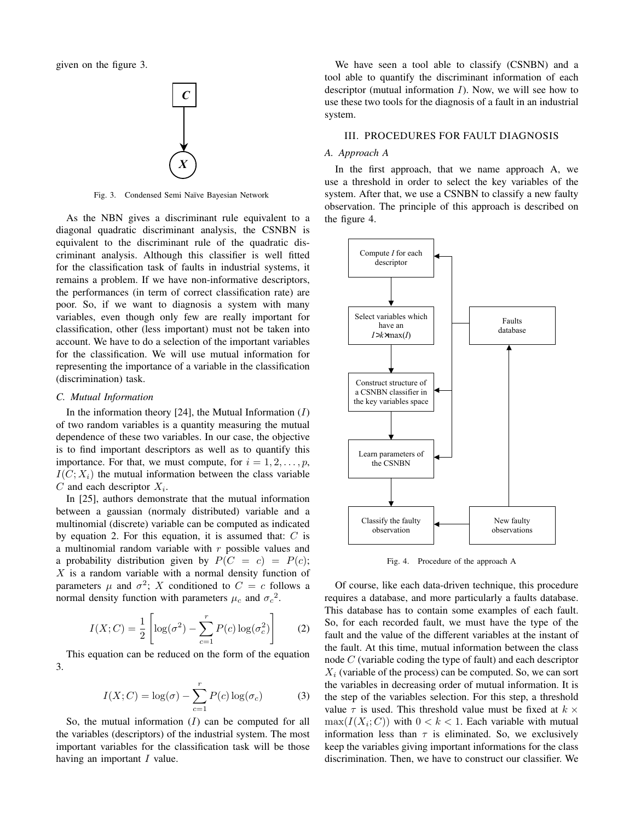given on the figure 3.



Fig. 3. Condensed Semi Naïve Bayesian Network

As the NBN gives a discriminant rule equivalent to a diagonal quadratic discriminant analysis, the CSNBN is equivalent to the discriminant rule of the quadratic discriminant analysis. Although this classifier is well fitted for the classification task of faults in industrial systems, it remains a problem. If we have non-informative descriptors, the performances (in term of correct classification rate) are poor. So, if we want to diagnosis a system with many variables, even though only few are really important for classification, other (less important) must not be taken into account. We have to do a selection of the important variables for the classification. We will use mutual information for representing the importance of a variable in the classification (discrimination) task.

#### *C. Mutual Information*

In the information theory [24], the Mutual Information  $(I)$ of two random variables is a quantity measuring the mutual dependence of these two variables. In our case, the objective is to find important descriptors as well as to quantify this importance. For that, we must compute, for  $i = 1, 2, \ldots, p$ ,  $I(C; X<sub>i</sub>)$  the mutual information between the class variable C and each descriptor  $X_i$ .

In [25], authors demonstrate that the mutual information between a gaussian (normaly distributed) variable and a multinomial (discrete) variable can be computed as indicated by equation 2. For this equation, it is assumed that:  $C$  is a multinomial random variable with  $r$  possible values and a probability distribution given by  $P(C = c) = P(c)$ ;  $X$  is a random variable with a normal density function of parameters  $\mu$  and  $\sigma^2$ ; X conditioned to  $C = c$  follows a normal density function with parameters  $\mu_c$  and  $\sigma_c^2$ .

$$
I(X;C) = \frac{1}{2} \left[ \log(\sigma^2) - \sum_{c=1}^{r} P(c) \log(\sigma_c^2) \right]
$$
 (2)

This equation can be reduced on the form of the equation 3.

$$
I(X;C) = \log(\sigma) - \sum_{c=1}^{r} P(c) \log(\sigma_c)
$$
 (3)

So, the mutual information  $(I)$  can be computed for all the variables (descriptors) of the industrial system. The most important variables for the classification task will be those having an important  $I$  value.

We have seen a tool able to classify (CSNBN) and a tool able to quantify the discriminant information of each descriptor (mutual information  $I$ ). Now, we will see how to use these two tools for the diagnosis of a fault in an industrial system.

## III. PROCEDURES FOR FAULT DIAGNOSIS

## *A. Approach A*

In the first approach, that we name approach A, we use a threshold in order to select the key variables of the system. After that, we use a CSNBN to classify a new faulty observation. The principle of this approach is described on the figure 4.



Fig. 4. Procedure of the approach A

Of course, like each data-driven technique, this procedure requires a database, and more particularly a faults database. This database has to contain some examples of each fault. So, for each recorded fault, we must have the type of the fault and the value of the different variables at the instant of the fault. At this time, mutual information between the class node C (variable coding the type of fault) and each descriptor  $X_i$  (variable of the process) can be computed. So, we can sort the variables in decreasing order of mutual information. It is the step of the variables selection. For this step, a threshold value  $\tau$  is used. This threshold value must be fixed at  $k \times$  $max(I(X_i; C))$  with  $0 < k < 1$ . Each variable with mutual information less than  $\tau$  is eliminated. So, we exclusively keep the variables giving important informations for the class discrimination. Then, we have to construct our classifier. We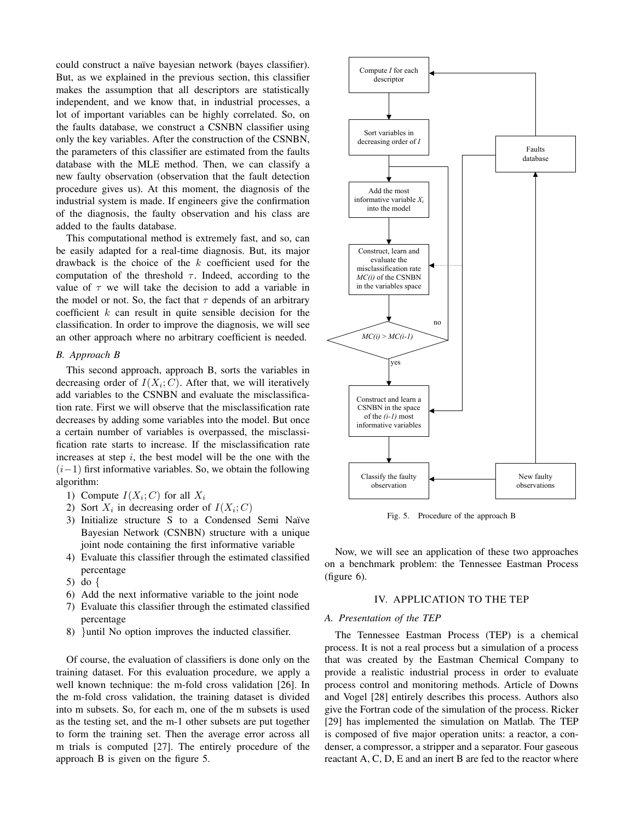could construct a naïve bayesian network (bayes classifier). But, as we explained in the previous section, this classifier makes the assumption that all descriptors are statistically independent, and we know that, in industrial processes, a lot of important variables can be highly correlated. So, on the faults database, we construct a CSNBN classifier using only the key variables. After the construction of the CSNBN, the parameters of this classifier are estimated from the faults database with the MLE method. Then, we can classify a new faulty observation (observation that the fault detection procedure gives us). At this moment, the diagnosis of the industrial system is made. If engineers give the confirmation of the diagnosis, the faulty observation and his class are added to the faults database.

This computational method is extremely fast, and so, can be easily adapted for a real-time diagnosis. But, its major drawback is the choice of the k coefficient used for the computation of the threshold  $\tau$ . Indeed, according to the value of  $\tau$  we will take the decision to add a variable in the model or not. So, the fact that  $\tau$  depends of an arbitrary coefficient  $k$  can result in quite sensible decision for the classification. In order to improve the diagnosis, we will see an other approach where no arbitrary coefficient is needed.

#### *B. Approach B*

This second approach, approach B, sorts the variables in decreasing order of  $I(X_i; C)$ . After that, we will iteratively add variables to the CSNBN and evaluate the misclassification rate. First we will observe that the misclassification rate decreases by adding some variables into the model. But once a certain number of variables is overpassed, the misclassification rate starts to increase. If the misclassification rate increases at step  $i$ , the best model will be the one with the  $(i-1)$  first informative variables. So, we obtain the following algorithm:

- 1) Compute  $I(X_i; C)$  for all  $X_i$
- 2) Sort  $X_i$  in decreasing order of  $I(X_i; C)$
- 3) Initialize structure S to a Condensed Semi Naïve Bayesian Network (CSNBN) structure with a unique joint node containing the first informative variable
- 4) Evaluate this classifier through the estimated classified percentage
- 5) do {
- 6) Add the next informative variable to the joint node
- 7) Evaluate this classifier through the estimated classified percentage
- 8) }until No option improves the inducted classifier.

Of course, the evaluation of classifiers is done only on the training dataset. For this evaluation procedure, we apply a well known technique: the m-fold cross validation [26]. In the m-fold cross validation, the training dataset is divided into m subsets. So, for each m, one of the m subsets is used as the testing set, and the m-1 other subsets are put together to form the training set. Then the average error across all m trials is computed [27]. The entirely procedure of the approach B is given on the figure 5.



Fig. 5. Procedure of the approach B

Now, we will see an application of these two approaches on a benchmark problem: the Tennessee Eastman Process (figure 6).

#### IV. APPLICATION TO THE TEP

#### *A. Presentation of the TEP*

The Tennessee Eastman Process (TEP) is a chemical process. It is not a real process but a simulation of a process that was created by the Eastman Chemical Company to provide a realistic industrial process in order to evaluate process control and monitoring methods. Article of Downs and Vogel [28] entirely describes this process. Authors also give the Fortran code of the simulation of the process. Ricker [29] has implemented the simulation on Matlab. The TEP is composed of five major operation units: a reactor, a condenser, a compressor, a stripper and a separator. Four gaseous reactant A, C, D, E and an inert B are fed to the reactor where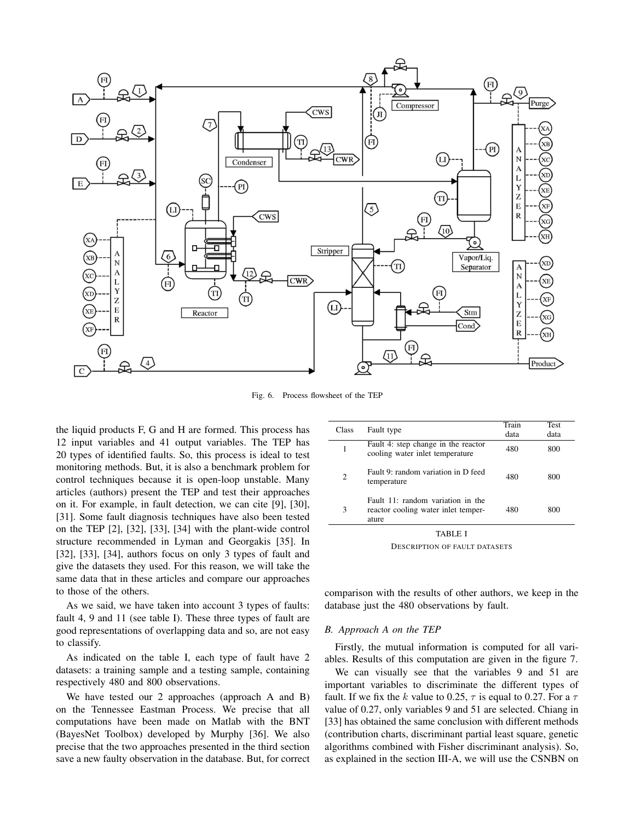

Fig. 6. Process flowsheet of the TEP

the liquid products F, G and H are formed. This process has 12 input variables and 41 output variables. The TEP has 20 types of identified faults. So, this process is ideal to test monitoring methods. But, it is also a benchmark problem for control techniques because it is open-loop unstable. Many articles (authors) present the TEP and test their approaches on it. For example, in fault detection, we can cite [9], [30], [31]. Some fault diagnosis techniques have also been tested on the TEP [2], [32], [33], [34] with the plant-wide control structure recommended in Lyman and Georgakis [35]. In [32], [33], [34], authors focus on only 3 types of fault and give the datasets they used. For this reason, we will take the same data that in these articles and compare our approaches to those of the others.

As we said, we have taken into account 3 types of faults: fault 4, 9 and 11 (see table I). These three types of fault are good representations of overlapping data and so, are not easy to classify.

As indicated on the table I, each type of fault have 2 datasets: a training sample and a testing sample, containing respectively 480 and 800 observations.

We have tested our 2 approaches (approach A and B) on the Tennessee Eastman Process. We precise that all computations have been made on Matlab with the BNT (BayesNet Toolbox) developed by Murphy [36]. We also precise that the two approaches presented in the third section save a new faulty observation in the database. But, for correct

| Class | Fault type                                                                        | Train<br>data | <b>Test</b><br>data |
|-------|-----------------------------------------------------------------------------------|---------------|---------------------|
| 1     | Fault 4: step change in the reactor<br>cooling water inlet temperature            | 480           | 800                 |
| 2     | Fault 9: random variation in D feed<br>temperature                                | 480           | 800                 |
| 3     | Fault 11: random variation in the<br>reactor cooling water inlet temper-<br>ature | 480           | 800                 |

TABLE I DESCRIPTION OF FAULT DATASETS

comparison with the results of other authors, we keep in the database just the 480 observations by fault.

### *B. Approach A on the TEP*

Firstly, the mutual information is computed for all variables. Results of this computation are given in the figure 7.

We can visually see that the variables 9 and 51 are important variables to discriminate the different types of fault. If we fix the k value to 0.25,  $\tau$  is equal to 0.27. For a  $\tau$ value of 0.27, only variables 9 and 51 are selected. Chiang in [33] has obtained the same conclusion with different methods (contribution charts, discriminant partial least square, genetic algorithms combined with Fisher discriminant analysis). So, as explained in the section III-A, we will use the CSNBN on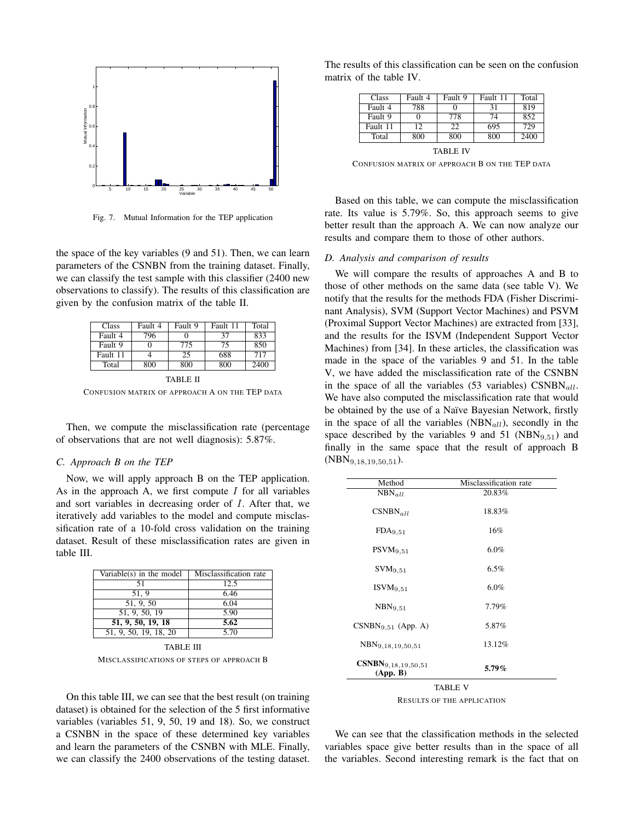

Fig. 7. Mutual Information for the TEP application

the space of the key variables (9 and 51). Then, we can learn parameters of the CSNBN from the training dataset. Finally, we can classify the test sample with this classifier (2400 new observations to classify). The results of this classification are given by the confusion matrix of the table II.

| Class    | Fault 4 | Fault 9 | Fault 11 | Total |
|----------|---------|---------|----------|-------|
| Fault 4  | 796     |         | 37       | 833   |
| Fault 9  |         | 775     | 75       | 850   |
| Fault 11 |         | 25      | 688      | 717   |
| Total    | 800     | 800     | 800      | 2400  |

TABLE II CONFUSION MATRIX OF APPROACH A ON THE TEP DATA

Then, we compute the misclassification rate (percentage of observations that are not well diagnosis): 5.87%.

### *C. Approach B on the TEP*

Now, we will apply approach B on the TEP application. As in the approach A, we first compute  $I$  for all variables and sort variables in decreasing order of I. After that, we iteratively add variables to the model and compute misclassification rate of a 10-fold cross validation on the training dataset. Result of these misclassification rates are given in table III.

| Variable $(s)$ in the model | Misclassification rate |  |
|-----------------------------|------------------------|--|
| 51                          | 12.5                   |  |
| 51, 9                       | 6.46                   |  |
| 51, 9, 50                   | 6.04                   |  |
| 51, 9, 50, 19               | 5.90                   |  |
| 51, 9, 50, 19, 18           | 5.62                   |  |
| 51, 9, 50, 19, 18, 20       | 5.70                   |  |
| TABLE III                   |                        |  |

MISCLASSIFICATIONS OF STEPS OF APPROACH B

On this table III, we can see that the best result (on training dataset) is obtained for the selection of the 5 first informative variables (variables 51, 9, 50, 19 and 18). So, we construct a CSNBN in the space of these determined key variables and learn the parameters of the CSNBN with MLE. Finally, we can classify the 2400 observations of the testing dataset.

The results of this classification can be seen on the confusion matrix of the table IV.

| Class           | Fault 4 | Fault 9 | Fault 11 | Total |
|-----------------|---------|---------|----------|-------|
| Fault 4         | 788     |         | 31       | 819   |
| Fault 9         | 0       | 778     | 74       | 852   |
| Fault 11        | 12.     | 22.     | 695      | 729   |
| Total           | 800     | 800     | 800      | 2400  |
| <b>TABLE IV</b> |         |         |          |       |

CONFUSION MATRIX OF APPROACH B ON THE TEP DATA

Based on this table, we can compute the misclassification rate. Its value is 5.79%. So, this approach seems to give better result than the approach A. We can now analyze our results and compare them to those of other authors.

### *D. Analysis and comparison of results*

We will compare the results of approaches A and B to those of other methods on the same data (see table V). We notify that the results for the methods FDA (Fisher Discriminant Analysis), SVM (Support Vector Machines) and PSVM (Proximal Support Vector Machines) are extracted from [33], and the results for the ISVM (Independent Support Vector Machines) from [34]. In these articles, the classification was made in the space of the variables 9 and 51. In the table V, we have added the misclassification rate of the CSNBN in the space of all the variables (53 variables)  $CSNBN_{all}$ . We have also computed the misclassification rate that would be obtained by the use of a Naïve Bayesian Network, firstly in the space of all the variables ( $NBN_{all}$ ), secondly in the space described by the variables 9 and 51 ( $NBN_{9,51}$ ) and finally in the same space that the result of approach B  $(NBN_{9,18,19,50,51}).$ 

| Method                              | Misclassification rate |
|-------------------------------------|------------------------|
| $NBN_{all}$                         | 20.83%                 |
| $CSNBN_{all}$                       | 18.83%                 |
| $FDA_{9,51}$                        | 16%                    |
| PSVM <sub>9.51</sub>                | $6.0\%$                |
| $SVM_{9,51}$                        | 6.5%                   |
| ISVM <sub>9,51</sub>                | 6.0%                   |
| NBN <sub>9,51</sub>                 | 7.79%                  |
| $CSNBN9,51$ (App. A)                | 5.87%                  |
| NBN9,18,19,50,51                    | 13.12%                 |
| $CSNBN_{9,18,19,50,51}$<br>(App. B) | 5.79%                  |
|                                     | TARI F V               |

RESULTS OF THE APPLICATION

We can see that the classification methods in the selected variables space give better results than in the space of all the variables. Second interesting remark is the fact that on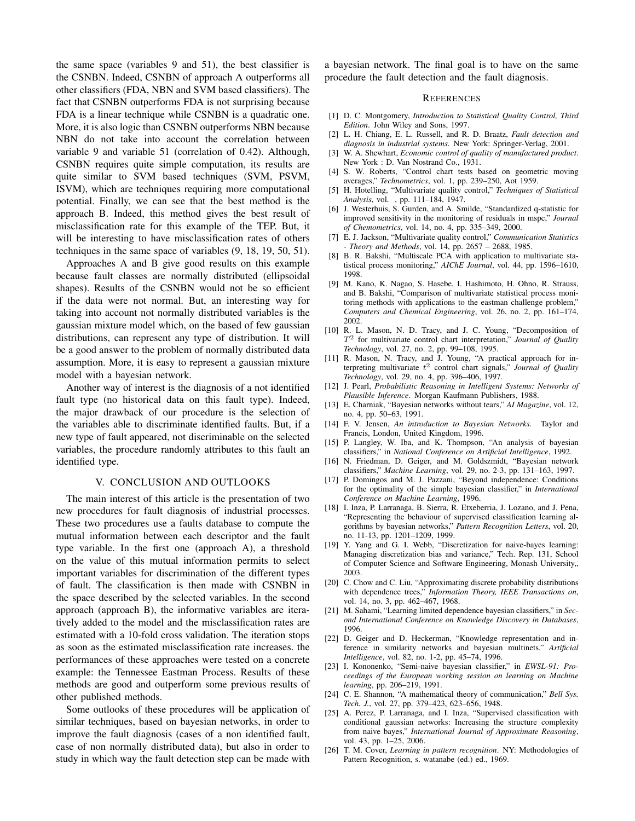the same space (variables 9 and 51), the best classifier is the CSNBN. Indeed, CSNBN of approach A outperforms all other classifiers (FDA, NBN and SVM based classifiers). The fact that CSNBN outperforms FDA is not surprising because FDA is a linear technique while CSNBN is a quadratic one. More, it is also logic than CSNBN outperforms NBN because NBN do not take into account the correlation between variable 9 and variable 51 (correlation of 0.42). Although, CSNBN requires quite simple computation, its results are quite similar to SVM based techniques (SVM, PSVM, ISVM), which are techniques requiring more computational potential. Finally, we can see that the best method is the approach B. Indeed, this method gives the best result of misclassification rate for this example of the TEP. But, it will be interesting to have misclassification rates of others techniques in the same space of variables (9, 18, 19, 50, 51).

Approaches A and B give good results on this example because fault classes are normally distributed (ellipsoidal shapes). Results of the CSNBN would not be so efficient if the data were not normal. But, an interesting way for taking into account not normally distributed variables is the gaussian mixture model which, on the based of few gaussian distributions, can represent any type of distribution. It will be a good answer to the problem of normally distributed data assumption. More, it is easy to represent a gaussian mixture model with a bayesian network.

Another way of interest is the diagnosis of a not identified fault type (no historical data on this fault type). Indeed, the major drawback of our procedure is the selection of the variables able to discriminate identified faults. But, if a new type of fault appeared, not discriminable on the selected variables, the procedure randomly attributes to this fault an identified type.

#### V. CONCLUSION AND OUTLOOKS

The main interest of this article is the presentation of two new procedures for fault diagnosis of industrial processes. These two procedures use a faults database to compute the mutual information between each descriptor and the fault type variable. In the first one (approach A), a threshold on the value of this mutual information permits to select important variables for discrimination of the different types of fault. The classification is then made with CSNBN in the space described by the selected variables. In the second approach (approach B), the informative variables are iteratively added to the model and the misclassification rates are estimated with a 10-fold cross validation. The iteration stops as soon as the estimated misclassification rate increases. the performances of these approaches were tested on a concrete example: the Tennessee Eastman Process. Results of these methods are good and outperform some previous results of other published methods.

Some outlooks of these procedures will be application of similar techniques, based on bayesian networks, in order to improve the fault diagnosis (cases of a non identified fault, case of non normally distributed data), but also in order to study in which way the fault detection step can be made with a bayesian network. The final goal is to have on the same procedure the fault detection and the fault diagnosis.

#### **REFERENCES**

- [1] D. C. Montgomery, *Introduction to Statistical Quality Control, Third Edition*. John Wiley and Sons, 1997.
- [2] L. H. Chiang, E. L. Russell, and R. D. Braatz, *Fault detection and diagnosis in industrial systems*. New York: Springer-Verlag, 2001.
- [3] W. A. Shewhart, *Economic control of quality of manufactured product*. New York : D. Van Nostrand Co., 1931.
- [4] S. W. Roberts, "Control chart tests based on geometric moving averages," *Technometrics*, vol. 1, pp. 239–250, Aot 1959.
- [5] H. Hotelling, "Multivariate quality control," *Techniques of Statistical Analysis*, vol. , pp. 111–184, 1947.
- [6] J. Westerhuis, S. Gurden, and A. Smilde, "Standardized q-statistic for improved sensitivity in the monitoring of residuals in mspc," *Journal of Chemometrics*, vol. 14, no. 4, pp. 335–349, 2000.
- [7] E. J. Jackson, "Multivariate quality control," *Communication Statistics - Theory and Methods*, vol. 14, pp. 2657 – 2688, 1985.
- [8] B. R. Bakshi, "Multiscale PCA with application to multivariate statistical process monitoring," *AIChE Journal*, vol. 44, pp. 1596–1610, 1998.
- [9] M. Kano, K. Nagao, S. Hasebe, I. Hashimoto, H. Ohno, R. Strauss, and B. Bakshi, "Comparison of multivariate statistical process monitoring methods with applications to the eastman challenge problem," *Computers and Chemical Engineering*, vol. 26, no. 2, pp. 161–174, 2002.
- [10] R. L. Mason, N. D. Tracy, and J. C. Young, "Decomposition of T 2 for multivariate control chart interpretation," *Journal of Quality Technology*, vol. 27, no. 2, pp. 99–108, 1995.
- [11] R. Mason, N. Tracy, and J. Young, "A practical approach for interpreting multivariate t 2 control chart signals," *Journal of Quality Technology*, vol. 29, no. 4, pp. 396–406, 1997.
- [12] J. Pearl, *Probabilistic Reasoning in Intelligent Systems: Networks of Plausible Inference*. Morgan Kaufmann Publishers, 1988.
- [13] E. Charniak, "Bayesian networks without tears," *AI Magazine*, vol. 12, no. 4, pp. 50–63, 1991.
- [14] F. V. Jensen, *An introduction to Bayesian Networks*. Taylor and Francis, London, United Kingdom, 1996.
- [15] P. Langley, W. Iba, and K. Thompson, "An analysis of bayesian classifiers," in *National Conference on Artificial Intelligence*, 1992.
- [16] N. Friedman, D. Geiger, and M. Goldszmidt, "Bayesian network classifiers," *Machine Learning*, vol. 29, no. 2-3, pp. 131–163, 1997.
- [17] P. Domingos and M. J. Pazzani, "Beyond independence: Conditions for the optimality of the simple bayesian classifier," in *International Conference on Machine Learning*, 1996.
- [18] I. Inza, P. Larranaga, B. Sierra, R. Etxeberria, J. Lozano, and J. Pena, "Representing the behaviour of supervised classification learning algorithms by bayesian networks," *Pattern Recognition Letters*, vol. 20, no. 11-13, pp. 1201–1209, 1999.
- [19] Y. Yang and G. I. Webb, "Discretization for naive-bayes learning: Managing discretization bias and variance," Tech. Rep. 131, School of Computer Science and Software Engineering, Monash University,, 2003.
- [20] C. Chow and C. Liu, "Approximating discrete probability distributions with dependence trees," *Information Theory, IEEE Transactions on*, vol. 14, no. 3, pp. 462–467, 1968.
- [21] M. Sahami, "Learning limited dependence bayesian classifiers," in *Second International Conference on Knowledge Discovery in Databases*, 1996.
- [22] D. Geiger and D. Heckerman, "Knowledge representation and inference in similarity networks and bayesian multinets," *Artificial Intelligence*, vol. 82, no. 1-2, pp. 45–74, 1996.
- [23] I. Kononenko, "Semi-naive bayesian classifier," in *EWSL-91: Proceedings of the European working session on learning on Machine learning*, pp. 206–219, 1991.
- [24] C. E. Shannon, "A mathematical theory of communication," *Bell Sys. Tech. J.*, vol. 27, pp. 379–423, 623–656, 1948.
- [25] A. Perez, P. Larranaga, and I. Inza, "Supervised classification with conditional gaussian networks: Increasing the structure complexity from naive bayes," *International Journal of Approximate Reasoning*, vol. 43, pp. 1–25, 2006.
- [26] T. M. Cover, *Learning in pattern recognition*. NY: Methodologies of Pattern Recognition, s. watanabe (ed.) ed., 1969.